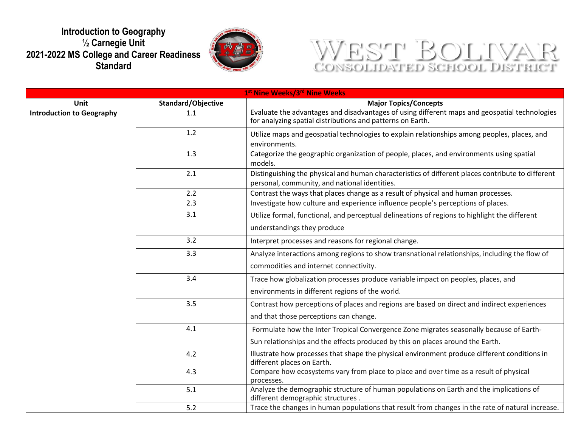## **Introduction to Geography ½ Carnegie Unit 2021-2022 MS College and Career Readiness Standard**



## WEST BOLIVAR

| 1 <sup>st</sup> Nine Weeks/3 <sup>rd</sup> Nine Weeks |                    |                                                                                                                                                             |  |
|-------------------------------------------------------|--------------------|-------------------------------------------------------------------------------------------------------------------------------------------------------------|--|
| <b>Unit</b>                                           | Standard/Objective | <b>Major Topics/Concepts</b>                                                                                                                                |  |
| <b>Introduction to Geography</b>                      | 1.1                | Evaluate the advantages and disadvantages of using different maps and geospatial technologies<br>for analyzing spatial distributions and patterns on Earth. |  |
|                                                       | 1.2                | Utilize maps and geospatial technologies to explain relationships among peoples, places, and<br>environments.                                               |  |
|                                                       | 1.3                | Categorize the geographic organization of people, places, and environments using spatial<br>models.                                                         |  |
|                                                       | 2.1                | Distinguishing the physical and human characteristics of different places contribute to different<br>personal, community, and national identities.          |  |
|                                                       | 2.2                | Contrast the ways that places change as a result of physical and human processes.                                                                           |  |
|                                                       | 2.3                | Investigate how culture and experience influence people's perceptions of places.                                                                            |  |
|                                                       | 3.1                | Utilize formal, functional, and perceptual delineations of regions to highlight the different                                                               |  |
|                                                       |                    | understandings they produce                                                                                                                                 |  |
|                                                       | 3.2                | Interpret processes and reasons for regional change.                                                                                                        |  |
|                                                       | 3.3                | Analyze interactions among regions to show transnational relationships, including the flow of                                                               |  |
|                                                       |                    | commodities and internet connectivity.                                                                                                                      |  |
|                                                       | 3.4                | Trace how globalization processes produce variable impact on peoples, places, and                                                                           |  |
|                                                       |                    | environments in different regions of the world.                                                                                                             |  |
|                                                       | 3.5                | Contrast how perceptions of places and regions are based on direct and indirect experiences                                                                 |  |
|                                                       |                    | and that those perceptions can change.                                                                                                                      |  |
|                                                       | 4.1                | Formulate how the Inter Tropical Convergence Zone migrates seasonally because of Earth-                                                                     |  |
|                                                       |                    | Sun relationships and the effects produced by this on places around the Earth.                                                                              |  |
|                                                       | 4.2                | Illustrate how processes that shape the physical environment produce different conditions in<br>different places on Earth.                                  |  |
|                                                       | 4.3                | Compare how ecosystems vary from place to place and over time as a result of physical<br>processes.                                                         |  |
|                                                       | 5.1                | Analyze the demographic structure of human populations on Earth and the implications of<br>different demographic structures.                                |  |
|                                                       | 5.2                | Trace the changes in human populations that result from changes in the rate of natural increase.                                                            |  |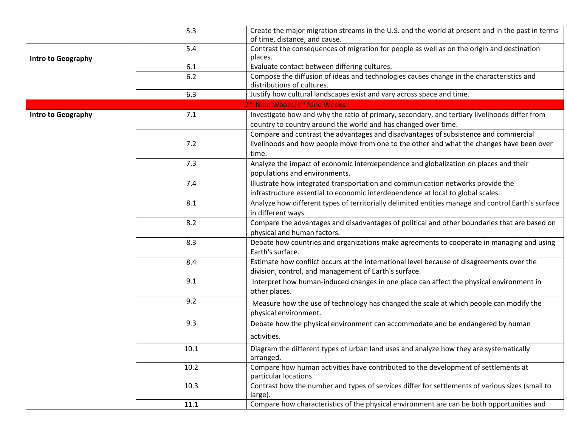|                           | 5.3  | Create the major migration streams in the U.S. and the world at present and in the past in terms<br>of time, distance, and cause.                                  |
|---------------------------|------|--------------------------------------------------------------------------------------------------------------------------------------------------------------------|
| <b>Intro to Geography</b> | 5.4  | Contrast the consequences of migration for people as well as on the origin and destination<br>places.                                                              |
|                           | 6.1  | Evaluate contact between differing cultures.                                                                                                                       |
|                           | 6.2  | Compose the diffusion of ideas and technologies causes change in the characteristics and<br>distributions of cultures.                                             |
|                           | 6.3  | Justify how cultural landscapes exist and vary across space and time.                                                                                              |
|                           |      | 2 <sup>nd</sup> Nine Weeks/4 <sup>th</sup> Nine Weeks                                                                                                              |
| Intro to Geography        | 7.1  | Investigate how and why the ratio of primary, secondary, and tertiary livelihoods differ from<br>country to country around the world and has changed over time.    |
|                           |      | Compare and contrast the advantages and disadvantages of subsistence and commercial                                                                                |
|                           | 7.2  | livelihoods and how people move from one to the other and what the changes have been over<br>time.                                                                 |
|                           | 7.3  | Analyze the impact of economic interdependence and globalization on places and their<br>populations and environments.                                              |
|                           | 7.4  | Illustrate how integrated transportation and communication networks provide the<br>infrastructure essential to economic interdependence at local to global scales. |
|                           | 8.1  | Analyze how different types of territorially delimited entities manage and control Earth's surface<br>in different ways.                                           |
|                           | 8.2  | Compare the advantages and disadvantages of political and other boundaries that are based on<br>physical and human factors.                                        |
|                           | 8.3  | Debate how countries and organizations make agreements to cooperate in managing and using<br>Earth's surface.                                                      |
|                           | 8.4  | Estimate how conflict occurs at the international level because of disagreements over the<br>division, control, and management of Earth's surface.                 |
|                           | 9.1  | Interpret how human-induced changes in one place can affect the physical environment in<br>other places.                                                           |
|                           | 9.2  | Measure how the use of technology has changed the scale at which people can modify the<br>physical environment.                                                    |
|                           | 9.3  | Debate how the physical environment can accommodate and be endangered by human<br>activities.                                                                      |
|                           |      |                                                                                                                                                                    |
|                           | 10.1 | Diagram the different types of urban land uses and analyze how they are systematically<br>arranged.                                                                |
|                           | 10.2 | Compare how human activities have contributed to the development of settlements at<br>particular locations.                                                        |
|                           | 10.3 | Contrast how the number and types of services differ for settlements of various sizes (small to<br>large).                                                         |
|                           | 11.1 | Compare how characteristics of the physical environment are can be both opportunities and                                                                          |